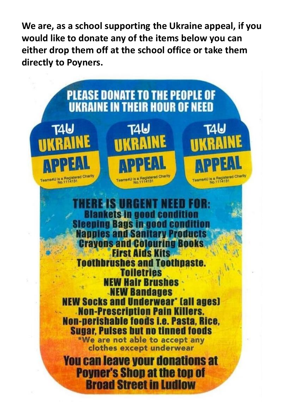**We are, as a school supporting the Ukraine appeal, if you would like to donate any of the items below you can either drop them off at the school office or take them directly to Poyners.**

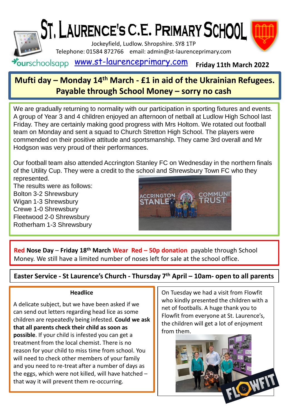

## **Mufti day – Monday 14th March - £1 in aid of the Ukrainian Refugees. Payable through School Money – sorry no cash**

We are gradually returning to normality with our participation in sporting fixtures and events. A group of Year 3 and 4 children enjoyed an afternoon of netball at Ludlow High School last Friday. They are certainly making good progress with Mrs Holtom. We rotated out football team on Monday and sent a squad to Church Stretton High School. The players were commended on their positive attitude and sportsmanship. They came 3rd overall and Mr Hodgson was very proud of their performances.

Our football team also attended Accrington Stanley FC on Wednesday in the northern finals of the Utility Cup. They were a credit to the school and Shrewsbury Town FC who they represented.

The results were as follows: Bolton 3-2 Shrewsbury Wigan 1-3 Shrewsbury Crewe 1-0 Shrewsbury Fleetwood 2-0 Shrewsbury Rotherham 1-3 Shrewsbury



**Red Nose Day** – **Friday 18th March Wear Red – 50p donation** payable through School Money. We still have a limited number of noses left for sale at the school office.

**Easter Service - St Laurence's Church - Thursday 7th April – 10am- open to all parents**

## **Headlice**

A delicate subject, but we have been asked if we can send out letters regarding head lice as some children are repeatedly being infested. **Could we ask that all parents check their child as soon as possible**. If your child is infested you can get a treatment from the local chemist. There is no reason for your child to miss time from school. You will need to check other members of your family and you need to re-treat after a number of days as the eggs, which were not killed, will have hatched – that way it will prevent them re-occurring.

On Tuesday we had a visit from Flowfit who kindly presented the children with a net of footballs. A huge thank you to Flowfit from everyone at St. Laurence's, the children will get a lot of enjoyment from them.